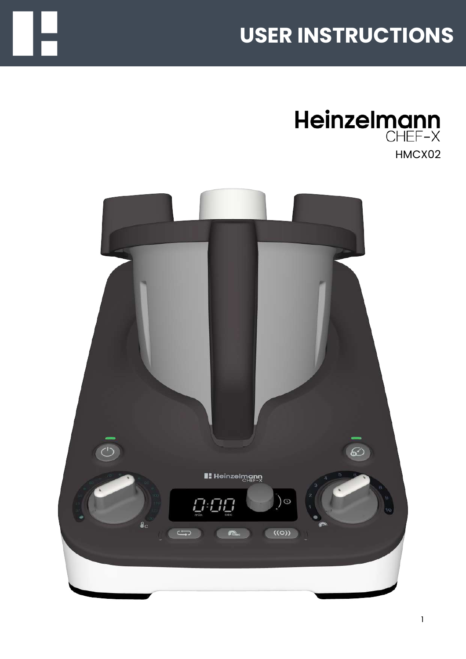# **USER INSTRUCTIONS**



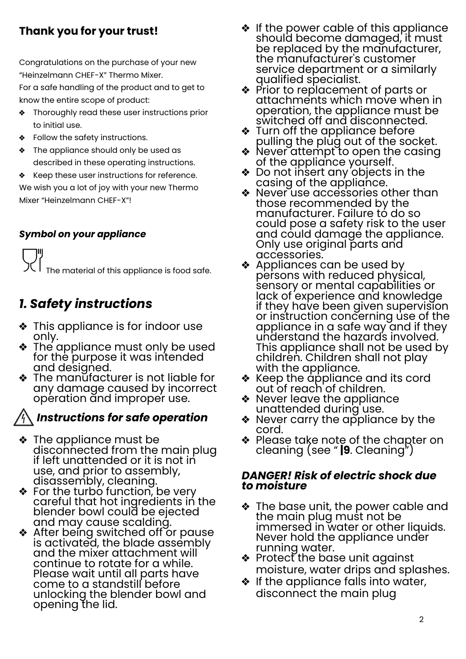### **Thank you for your trust!**

Congratulations on the purchase of your new "Heinzelmann CHEF-X" Thermo Mixer.

For a safe handling of the product and to get to know the entire scope of product:

- **\*** Thoroughly read these user instructions prior to initial use.
- Follow the safety instructions.
- **\*** The appliance should only be used as described in these operating instructions.

 $\triangleleft$  Keep these user instructions for reference. We wish you a lot of joy with your new Thermo Mixer "Heinzelmann CHEF-X"!

#### *Symbol on your appliance*

 $\sum_{i=1}^{\infty}$  The material of this appliance is food safe.

### *1. Safety instructions*

- ❖ This appliance is for indoor use only.
- $\bullet$  The appliance must only be used for the purpose it was intended and designed.
- $\triangleleft$  The manufacturer is not liable for any damage caused by incorrect operation and improper use.

### *Instructions for safe operation*

- $\triangle$  The appliance must be disconnected from the main plug if left unattended or it is not in use, and prior to assembly, disassembly, cleaning.
- For the turbo function, be very careful that hot ingredients in the blender bowl could be ejected and may cause scalding.
- After being switched off or pause is activated, the blade assembly and the mixer attachment will continue to rotate for a while. Please wait until all parts have come to a standstill before unlocking the blender bowl and opening the lid.
- $\cdot$  If the power cable of this appliance should become damaged, it must be replaced by the manufacturer, the manufacturer's customer service department or a similarly qualified specialist.
- ❖ Prior to replacement of parts or attachments which move when in operation, the appliance must be switched off and disconnected.
- **❖** Turn off the appliance before pulling the plug out of the socket.
- Never attempt to open the casing of the appliance yourself.
- $\triangleleft$  Do not insert any objects in the casing of the appliance.
- ◆ Never use accessories other than those recommended by the manufacturer. Failure tó do so could pose a safety risk to the user and could damage the appliance. Only use original parts and accessories.
- ❖ Appliances can be used by persons with reduced physical, sensory or mental capabilities or lack of experience and knowledge if they have been given supervision or instruction concerning use of the appliance in a safe way and if they understand the hazard's involved. This appliance shall not be used by children. Children shall not play with the appliance.
- $\triangleleft$  Keep the appliance and its cord out of reach of children.
- ◆ Never leave the appliance unattended during use.
- $\triangleleft$  Never carry the appliance by the cord.
- $\triangleleft$  Please take note of the chapter on cleaning (see " **|9**. Cleaning")

#### *DANGER! Risk of electric shock due to moisture*

- $\triangleleft$  The base unit, the power cable and the main plug must not be immersed in water or other liquids. Never hold the appliance under running water.
- $\triangleleft$  Protect the base unit against moisture, water drips and splashes.
- $\bullet$  If the appliance falls into water, disconnect the main plug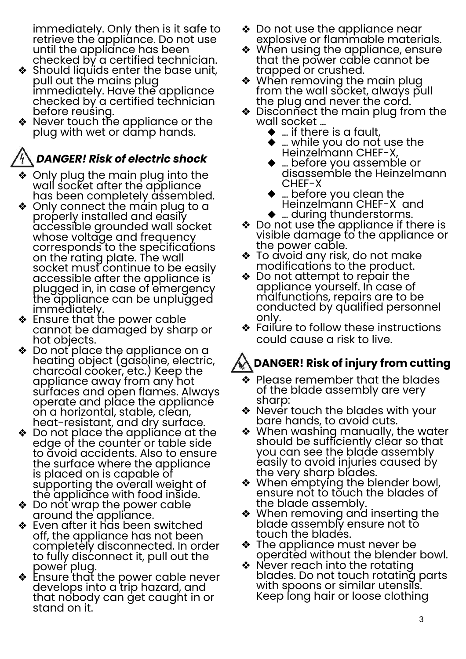immediately. Only then is it safe to retrieve the appliance. Do not use until the appliance has been checked by a certified technician.

- $\triangleleft$  Should liquids enter the base unit, pull out the mains plug immediately. Have the appliance checked by a certified technician before reusing.
- Never touch the appliance or the plug with wet or damp hands.

### *DANGER! Risk of electric shock*

- ◆ Only plug the main plug into the wall socket after the appliance has been completely assembled.
- $\triangleleft$  Only connect the main plug to a properly installed and easily accessible grounded wall socket whose voltage and frequency corresponds to the specifications on the rating plate. The wall socket must continue to be easily accessible after the appliance is plugged in, in case of emergency the appliance can be unplugged immediately.
- \* Ensure that the power cable cannot be damaged by sharp or hot objects.
- $\bullet\,$  Do not place the appliance on a heating object (gasoline, electric, charcoal cooker, etc.) Keep the appliance away from any hot surfaces and open flames. Always operate and place the appliance on a horizontal, stable, clean, heat-resistant, and dry surface.
- $\triangleleft$  Do not place the appliance at the edge of the counter or table side to avoid accidents. Also to ensure the surface where the appliance is placed on is capable of supporting the overall weight of the appliance with food inside.
- $\triangleleft$  Do not wrap the power cable around the appliance.
- $\triangleleft$  Even after it has been switched off, the appliance has not been completely disconnected. In order to fully disconnect it, pull out the power plug.
- **\*** Ensure that the power cable never develops into a trip hazard, and that nobody can get caught in or stand on it.
- $\triangleleft$  Do not use the appliance near explosive or flammable materials.
- ❖ When using the appliance, ensure that the power cable cannot be trapped or crushed.
- ❖ When removing the main plug from the wall socket, always pull the plug and never the cord.
- $\triangleleft$  Disconnect the main plug from the wall socket …
	- $\blacklozenge$  … if there is a fault,
	- … while you do not use the Heinzelmann CHEF-X,
	- … before you assemble or disassemble the Heinzelmann CHEF-X
	- $\blacklozenge$  … before you clean the
	- Heinzelmann CHEF-X and<br>♦ ... during thunderstorms.
- $\clubsuit$  Do not use the appliance if there is visible damage to the appliance or the power cable.
- ❖ To avoid any risk, do not make modifications to the product.
- $\clubsuit$  Do not attempt to repair the appliance yourself. In case of malfunctions, repairs are to be conducted by qualified personnel only.
- $\clubsuit$  Failure to follow these instructions could cause a risk to live.

## **DANGER! Risk of injury from cutting**

- $\bullet\,$  Please remember that the blades of the blade assembly are very sharp:
- ❖ Never touch the blades with your bare hands, to avoid cuts.
- ❖ When washing manually, the water should be sufficiently cléar so that you can see the blade assembly easily to avoid injuries caused by the very sharp blades.
- $\bullet\,$  When emptying the blender bowl, ensure not to touch the blades of the blade assembly.
- ◆ When removing and inserting the blade assembly ensure not to touch the bladés.
- $\triangleleft$  The appliance must never be operated without the blender bowl.
- $\triangleleft$  Never reach into the rotating blades. Do not touch rotating parts with spoons or similar utensils. Keep long hair or loose clothing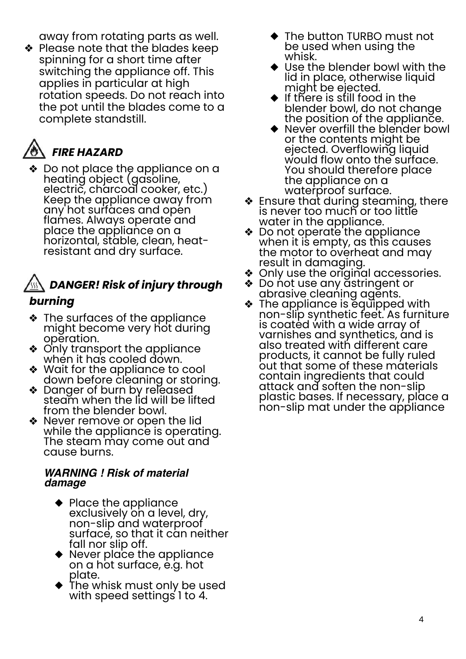away from rotating parts as well.

◆ Please note that the blades keep spinning for a short time after switching the appliance off. This applies in particular at high rotation speeds. Do not reach into the pot until the blades come to a complete standstill.

## **<sup><sup>卷</sup> FIRE HAZARD**</sup>

 $\triangleleft$  Do not place the appliance on a heating object (gasoline, electric, charcoal cooker, etc.) Keep the appliance away from any hot surfaces and open flames. Always operate and place the appliance on a horizontal, stable, clean, heatresistant and dry surface.

# *DANGER! Risk of injury through*

### *burning*

- ❖ The surfaces of the appliance might become very hot during operation.
- ❖ Only transport the appliance when it has cooled down.
- ◆ Wait for the appliance to cool down before cleaning or storing.
- \* Danger of burn by released steam when the lid will be lifted from the blender bowl.
- ◆ Never remove or open the lid while the appliance is operating. The steam may come out and cause burns.

#### *WARNING ! Risk of material damage*

- $\blacklozenge$  Place the appliance exclusively on a level, dry, non-slip and waterproof surface, so that it can neither fall nor slip off.
- Never place the appliance on a hot surface, e.g. hot plate.
- $\blacklozenge$  The whisk must only be used with speed settings 1 to 4.
- ◆ The button TURBO must not be used when using the whisk.
- ◆ Use the blender bowl with the lid in place, otherwise liquid might be ejected.
- $\blacklozenge$  If there is still food in the blender bowl, do not change the position of the appliance.
- Never overfill the blender bowl or the contents might be ejected. Overflowing liquid would flow onto the surface. You should therefore place the appliance on a<br>waterproof surface.
- $\triangleleft$  Ensure that during steaming, there is never too much or too little water in the appliance.
- **\*** Do not operate the appliance when it is empty, as this causes the motor to overheat and may result in damaging.
- ❖ Only use the original accessories.
- ❖ Do not use any astringent or abrasive cleaning agents.
- **\*** The appliance is equipped with non-slip synthetic feet. As furniture is coated with a wide array of varnishes and synthetics, and is also treated with different care products, it cannot be fully ruled out that some of these materials contain ingredients that could attack and soften the non-slip plastic bases. If necessary, place a non-slip mat under the appliance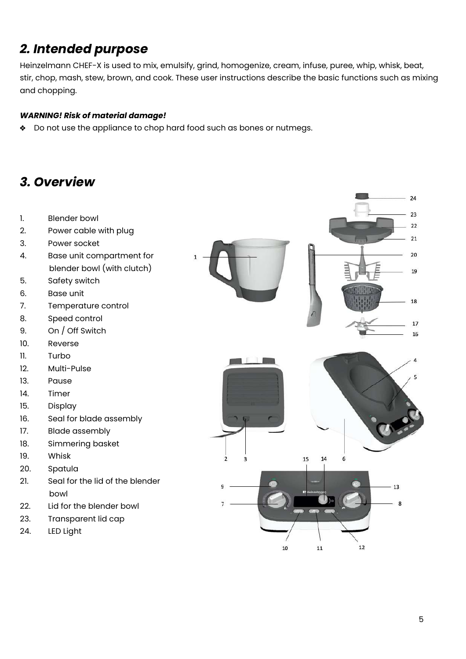### *2. Intended purpose*

Heinzelmann CHEF-X is used to mix, emulsify, grind, homogenize, cream, infuse, puree, whip, whisk, beat, stir, chop, mash, stew, brown, and cook. These user instructions describe the basic functions such as mixing and chopping.

#### *WARNING! Risk of material damage!*

• Do not use the appliance to chop hard food such as bones or nutmegs.

### *3. Overview*

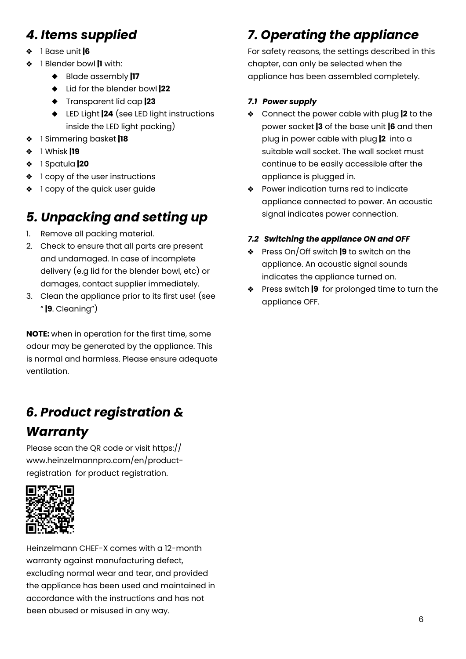### *4. Items supplied*

- ÷. 1 Base unit **|6**
- 1 Blender bowl **|1** with:
	- Blade assembly **|17**
	- Lid for the blender bowl **|22**
	- Transparent lid cap **|23**
	- LED Light **|24** (see LED light instructions inside the LED light packing)
- 1 Simmering basket **|18**
- 1 Whisk **|19** ❖
- 1 Spatula **|20**
- ❖ 1 copy of the user instructions
- 1 copy of the quick user guide

### *5. Unpacking and setting up*

- 1. Remove all packing material.
- 2. Check to ensure that all parts are present and undamaged. In case of incomplete delivery (e.g lid for the blender bowl, etc) or damages, contact supplier immediately.
- 3. Clean the appliance prior to its first use! (see " **|9**. Cleaning")

**NOTE:** when in operation for the first time, some odour may be generated by the appliance. This is normal and harmless. Please ensure adequate ventilation.

### *6. Product registration & Warranty*

Please scan the QR code or visit https:// www.heinzelmannpro.com/en/productregistration for product registration.



Heinzelmann CHEF-X comes with a 12-month warranty against manufacturing defect, excluding normal wear and tear, and provided the appliance has been used and maintained in accordance with the instructions and has not been abused or misused in any way.

### *7. Operating the appliance*

For safety reasons, the settings described in this chapter, can only be selected when the appliance has been assembled completely.

#### *7.1 Power supply*

- Connect the power cable with plug **|2** to the power socket **|3** of the base unit **|6** and then plug in power cable with plug **|2** into a suitable wall socket. The wall socket must continue to be easily accessible after the appliance is plugged in.
- ◆ Power indication turns red to indicate appliance connected to power. An acoustic signal indicates power connection.

#### *7.2 Switching the appliance ON and OFF*

- Press On/Off switch **|9** to switch on the appliance. An acoustic signal sounds indicates the appliance turned on.
- Press switch **|9** for prolonged time to turn the appliance OFF.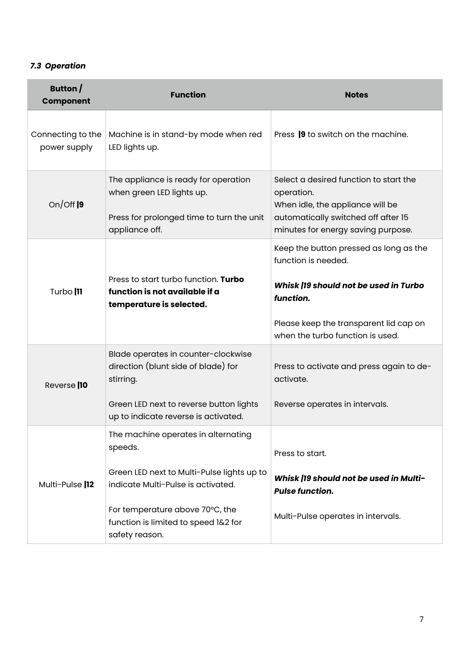#### *7.3 Operation*

| Button $/$<br><b>Component</b>    | <b>Function</b>                                                                                                                                                                                                                 | <b>Notes</b>                                                                                                                                                          |
|-----------------------------------|---------------------------------------------------------------------------------------------------------------------------------------------------------------------------------------------------------------------------------|-----------------------------------------------------------------------------------------------------------------------------------------------------------------------|
| Connecting to the<br>power supply | Machine is in stand-by mode when red<br>LED lights up.                                                                                                                                                                          | Press 19 to switch on the machine.                                                                                                                                    |
| On/Off $ 9$                       | The appliance is ready for operation<br>when green LED lights up.<br>Press for prolonged time to turn the unit<br>appliance off.                                                                                                | Select a desired function to start the<br>operation.<br>When idle, the appliance will be<br>automatically switched off after 15<br>minutes for energy saving purpose. |
| Turbo  11                         | Press to start turbo function. Turbo<br>function is not available if a<br>temperature is selected.                                                                                                                              | Keep the button pressed as long as the<br>function is needed.<br>Whisk  19 should not be used in Turbo<br>function.<br>Please keep the transparent lid cap on         |
| Reverse <sup>110</sup>            | Blade operates in counter-clockwise<br>direction (blunt side of blade) for<br>stirring.<br>Green LED next to reverse button lights<br>up to indicate reverse is activated.                                                      | when the turbo function is used.<br>Press to activate and press again to de-<br>activate.<br>Reverse operates in intervals.                                           |
| Multi-Pulse  12                   | The machine operates in alternating<br>speeds.<br>Green LED next to Multi-Pulse lights up to<br>indicate Multi-Pulse is activated.<br>For temperature above 70°C, the<br>function is limited to speed 1&2 for<br>safety reason. | Press to start.<br>Whisk  19 should not be used in Multi-<br><b>Pulse function.</b><br>Multi-Pulse operates in intervals.                                             |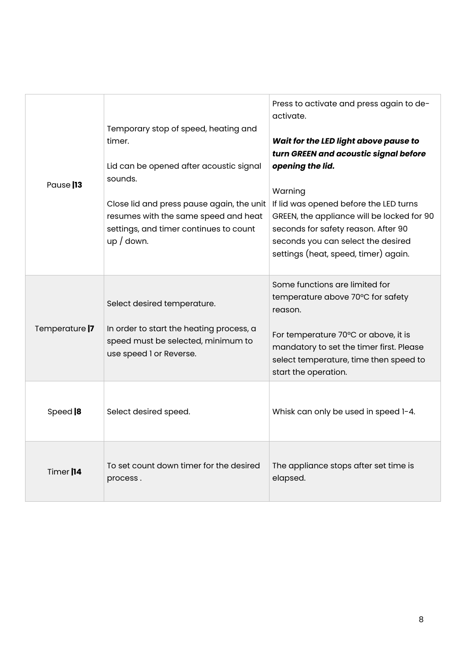| Pause 13              | Temporary stop of speed, heating and<br>timer.<br>Lid can be opened after acoustic signal<br>sounds.<br>Close lid and press pause again, the unit<br>resumes with the same speed and heat<br>settings, and timer continues to count<br>$up$ / down. | Press to activate and press again to de-<br>activate.<br>Wait for the LED light above pause to<br>turn GREEN and acoustic signal before<br>opening the lid.<br>Warning<br>If lid was opened before the LED turns<br>GREEN, the appliance will be locked for 90<br>seconds for safety reason. After 90<br>seconds you can select the desired<br>settings (heat, speed, timer) again. |
|-----------------------|-----------------------------------------------------------------------------------------------------------------------------------------------------------------------------------------------------------------------------------------------------|-------------------------------------------------------------------------------------------------------------------------------------------------------------------------------------------------------------------------------------------------------------------------------------------------------------------------------------------------------------------------------------|
| Temperature  7        | Select desired temperature.<br>In order to start the heating process, a<br>speed must be selected, minimum to<br>use speed I or Reverse.                                                                                                            | Some functions are limited for<br>temperature above 70°C for safety<br>reason.<br>For temperature 70°C or above, it is<br>mandatory to set the timer first. Please<br>select temperature, time then speed to<br>start the operation.                                                                                                                                                |
| Speed  8              | Select desired speed.                                                                                                                                                                                                                               | Whisk can only be used in speed 1-4.                                                                                                                                                                                                                                                                                                                                                |
| Timer <sup>[14]</sup> | To set count down timer for the desired<br>process.                                                                                                                                                                                                 | The appliance stops after set time is<br>elapsed.                                                                                                                                                                                                                                                                                                                                   |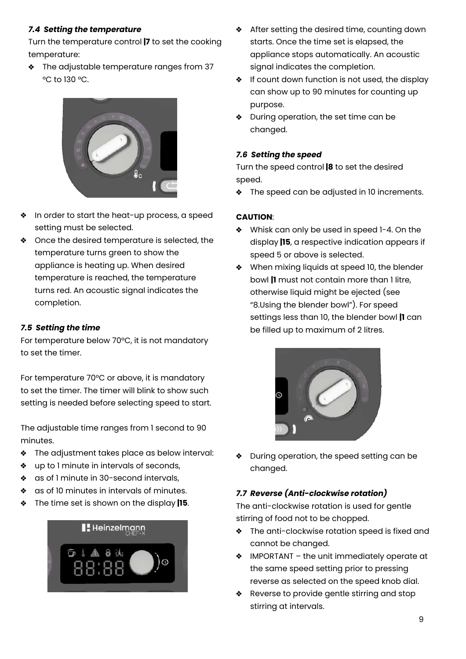#### *7.4 Setting the temperature*

Turn the temperature control **|7** to set the cooking temperature:

**\*** The adjustable temperature ranges from 37 °C to 130 °C.



- In order to start the heat-up process, a speed setting must be selected.
- ◆ Once the desired temperature is selected, the temperature turns green to show the appliance is heating up. When desired temperature is reached, the temperature turns red. An acoustic signal indicates the completion.

#### *7.5 Setting the time*

For temperature below 70°C, it is not mandatory to set the timer.

For temperature 70°C or above, it is mandatory to set the timer. The timer will blink to show such setting is needed before selecting speed to start.

The adjustable time ranges from 1 second to 90 minutes.

- **\*** The adjustment takes place as below interval:
- ❖ up to 1 minute in intervals of seconds,
- \* as of 1 minute in 30-second intervals,
- \* as of 10 minutes in intervals of minutes.
- $\bullet$  The time set is shown on the display **|15**.



- **\*** After setting the desired time, counting down starts. Once the time set is elapsed, the appliance stops automatically. An acoustic signal indicates the completion.
- $\cdot \cdot$  If count down function is not used, the display can show up to 90 minutes for counting up purpose.
- During operation, the set time can be changed.

#### *7.6 Setting the speed*

Turn the speed control **|8** to set the desired speed.

The speed can be adjusted in 10 increments.  $\frac{1}{2}$ 

#### **CAUTION**:

- Whisk can only be used in speed 1-4. On the display **|15**, a respective indication appears if speed 5 or above is selected.
- When mixing liquids at speed 10, the blender bowl **|1** must not contain more than 1 litre, otherwise liquid might be ejected (see "8.Using the blender bowl"). For speed settings less than 10, the blender bowl **|1** can be filled up to maximum of 2 litres.



❖ During operation, the speed setting can be changed.

#### *7.7 Reverse (Anti-clockwise rotation)*

The anti-clockwise rotation is used for gentle stirring of food not to be chopped.

- **\*** The anti-clockwise rotation speed is fixed and cannot be changed.
- $\triangleleft$  IMPORTANT the unit immediately operate at the same speed setting prior to pressing reverse as selected on the speed knob dial.
- \* Reverse to provide gentle stirring and stop stirring at intervals.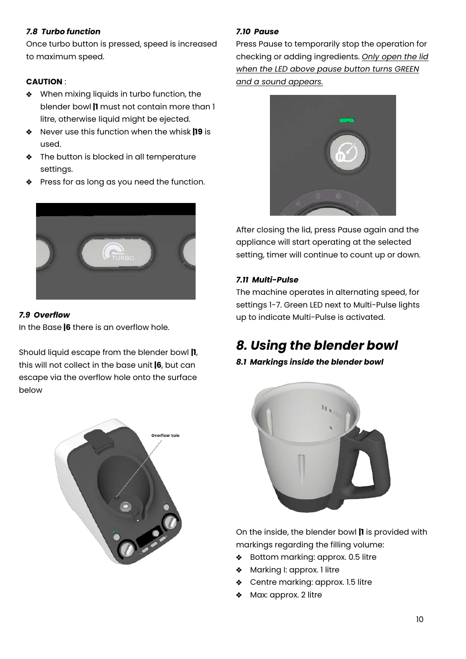#### *7.8 Turbo function*

Once turbo button is pressed, speed is increased to maximum speed.

#### **CAUTION** :

- \* When mixing liquids in turbo function, the blender bowl **|1** must not contain more than 1 litre, otherwise liquid might be ejected.
- Never use this function when the whisk **|19** is ÷ used.
- $\bullet$  The button is blocked in all temperature settings.
- Press for as long as you need the function.



#### *7.9 Overflow*

In the Base **|6** there is an overflow hole.

Should liquid escape from the blender bowl **|1**, this will not collect in the base unit **|6**, but can escape via the overflow hole onto the surface below



#### *7.10 Pause*

Press Pause to temporarily stop the operation for checking or adding ingredients. *Only open the lid when the LED above pause button turns GREEN and a sound appears.*



After closing the lid, press Pause again and the appliance will start operating at the selected setting, timer will continue to count up or down.

#### *7.11 Multi-Pulse*

The machine operates in alternating speed, for settings 1-7. Green LED next to Multi-Pulse lights up to indicate Multi-Pulse is activated.

### *8. Using the blender bowl*

#### *8.1 Markings inside the blender bowl*



On the inside, the blender bowl **|1** is provided with markings regarding the filling volume:

- $\clubsuit$ Bottom marking: approx. 0.5 litre
- Marking I: approx. 1 litre  $\mathbf{r}^{\prime\prime}_{\mathbf{r}^{\prime\prime}}$
- ◆ Centre marking: approx. 1.5 litre
- Max: approx. 2 litre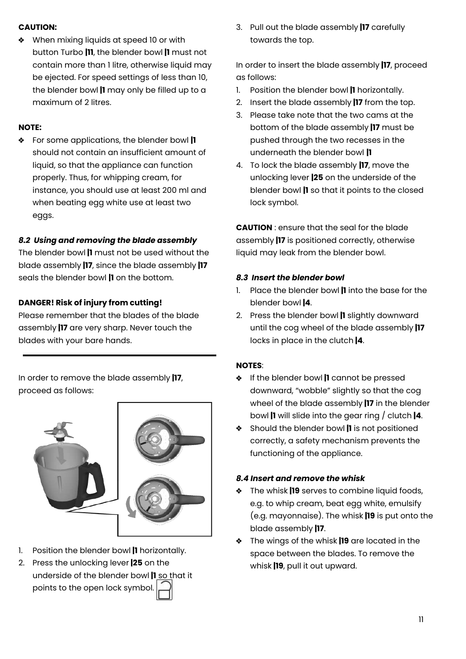#### **CAUTION:**

• When mixing liquids at speed 10 or with button Turbo **|11**, the blender bowl **|1** must not contain more than 1 litre, otherwise liquid may be ejected. For speed settings of less than 10, the blender bowl **|1** may only be filled up to a maximum of 2 litres.

#### **NOTE:**

For some applications, the blender bowl **|1** should not contain an insufficient amount of liquid, so that the appliance can function properly. Thus, for whipping cream, for instance, you should use at least 200 ml and when beating egg white use at least two eggs.

#### *8.2 Using and removing the blade assembly*

The blender bowl **|1** must not be used without the blade assembly **|17**, since the blade assembly **|17** seals the blender bowl **|1** on the bottom.

#### **DANGER! Risk of injury from cutting!**

Please remember that the blades of the blade assembly **|17** are very sharp. Never touch the blades with your bare hands.

In order to remove the blade assembly **|17**, proceed as follows:



- 1. Position the blender bowl **|1** horizontally.
- 2. Press the unlocking lever **|25** on the underside of the blender bowl **|1** so that it points to the open lock symbol.

3. Pull out the blade assembly **|17** carefully towards the top.

In order to insert the blade assembly **|17**, proceed as follows:

- 1. Position the blender bowl **|1** horizontally.
- 2. Insert the blade assembly **|17** from the top.
- 3. Please take note that the two cams at the bottom of the blade assembly **|17** must be pushed through the two recesses in the underneath the blender bowl **|1**
- 4. To lock the blade assembly **|17**, move the unlocking lever **|25** on the underside of the blender bowl **|1** so that it points to the closed lock symbol.

**CAUTION** : ensure that the seal for the blade assembly **|17** is positioned correctly, otherwise liquid may leak from the blender bowl.

#### *8.3 Insert the blender bowl*

- 1. Place the blender bowl **|1** into the base for the blender bowl **|4**.
- 2. Press the blender bowl **|1** slightly downward until the cog wheel of the blade assembly **|17** locks in place in the clutch **|4**.

#### **NOTES**:

- If the blender bowl **|1** cannot be pressed downward, "wobble" slightly so that the cog wheel of the blade assembly **|17** in the blender bowl **|1** will slide into the gear ring / clutch **|4**.
- Should the blender bowl **|1** is not positioned correctly, a safety mechanism prevents the functioning of the appliance.

#### *8.4 Insert and remove the whisk*

- The whisk **|19** serves to combine liquid foods, e.g. to whip cream, beat egg white, emulsify (e.g. mayonnaise). The whisk **|19** is put onto the blade assembly **|17**.
- The wings of the whisk **|19** are located in the space between the blades. To remove the whisk **|19**, pull it out upward.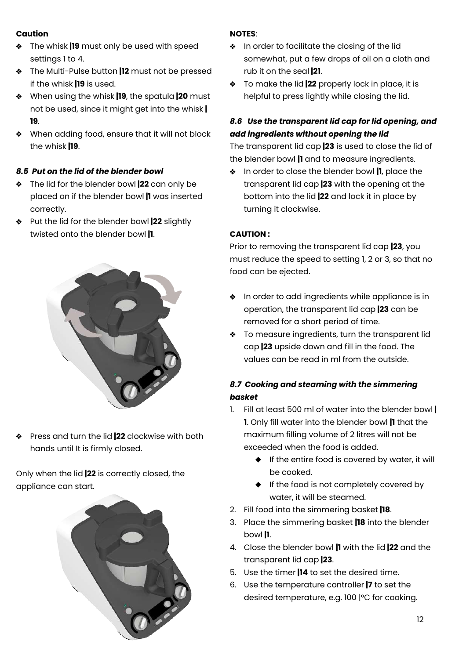#### **Caution**

- The whisk **|19** must only be used with speed settings 1 to 4.
- The Multi-Pulse button **|12** must not be pressed if the whisk **|19** is used.
- When using the whisk **|19**, the spatula **|20** must not be used, since it might get into the whisk **| 19**.
- When adding food, ensure that it will not block  $\bullet$ the whisk **|19**.

#### *8.5 Put on the lid of the blender bowl*

- $\bullet$ The lid for the blender bowl **|22** can only be placed on if the blender bowl **|1** was inserted correctly.
- Put the lid for the blender bowl **|22** slightly twisted onto the blender bowl **|1**.



Press and turn the lid **|22** clockwise with both  $\mathbf{r}$ hands until It is firmly closed.

Only when the lid **|22** is correctly closed, the appliance can start.



#### **NOTES**:

- **\*** In order to facilitate the closing of the lid somewhat, put a few drops of oil on a cloth and rub it on the seal **|21**.
- To make the lid **|22** properly lock in place, it is helpful to press lightly while closing the lid.

#### *8.6 Use the transparent lid cap for lid opening, and add ingredients without opening the lid*

The transparent lid cap **|23** is used to close the lid of the blender bowl **|1** and to measure ingredients.

In order to close the blender bowl **|1**, place the transparent lid cap **|23** with the opening at the bottom into the lid **|22** and lock it in place by turning it clockwise.

#### **CAUTION :**

Prior to removing the transparent lid cap **|23**, you must reduce the speed to setting 1, 2 or 3, so that no food can be ejected.

- **\*** In order to add ingredients while appliance is in operation, the transparent lid cap **|23** can be removed for a short period of time.
- **\*** To measure ingredients, turn the transparent lid cap **|23** upside down and fill in the food. The values can be read in ml from the outside.

#### *8.7 Cooking and steaming with the simmering basket*

- 1. Fill at least 500 ml of water into the blender bowl **| 1**. Only fill water into the blender bowl **|1** that the maximum filling volume of 2 litres will not be exceeded when the food is added.
	- $\bullet$  If the entire food is covered by water, it will be cooked.
	- $\bullet$  If the food is not completely covered by water, it will be steamed.
- 2. Fill food into the simmering basket **|18**.
- 3. Place the simmering basket **|18** into the blender bowl **|1**.
- 4. Close the blender bowl **|1** with the lid **|22** and the transparent lid cap **|23**.
- 5. Use the timer **|14** to set the desired time.
- 6. Use the temperature controller **|7** to set the desired temperature, e.g. 100 |°C for cooking.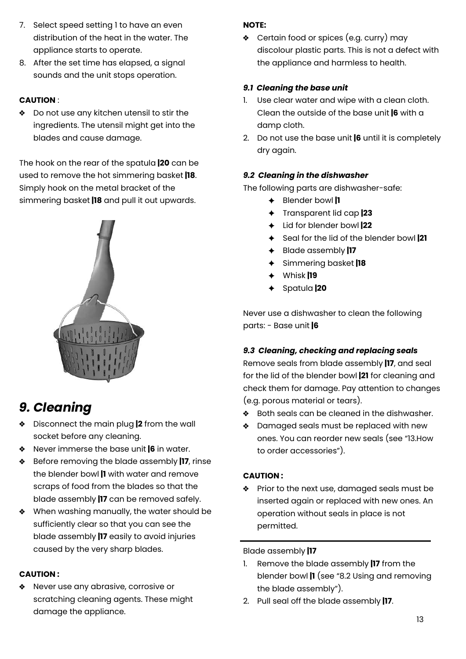- 7. Select speed setting 1 to have an even distribution of the heat in the water. The appliance starts to operate.
- 8. After the set time has elapsed, a signal sounds and the unit stops operation.

#### **CAUTION** :

◆ Do not use any kitchen utensil to stir the ingredients. The utensil might get into the blades and cause damage.

The hook on the rear of the spatula **|20** can be used to remove the hot simmering basket **|18**. Simply hook on the metal bracket of the simmering basket **|18** and pull it out upwards.



### *9. Cleaning*

- Disconnect the main plug **|2** from the wall socket before any cleaning.
- Never immerse the base unit **|6** in water.
- Before removing the blade assembly **|17**, rinse the blender bowl **|1** with water and remove scraps of food from the blades so that the blade assembly **|17** can be removed safely.
- When washing manually, the water should be sufficiently clear so that you can see the blade assembly **|17** easily to avoid injuries caused by the very sharp blades.

#### **CAUTION :**

\* Never use any abrasive, corrosive or scratching cleaning agents. These might damage the appliance.

#### **NOTE:**

Certain food or spices (e.g. curry) may discolour plastic parts. This is not a defect with the appliance and harmless to health.

#### *9.1 Cleaning the base unit*

- 1. Use clear water and wipe with a clean cloth. Clean the outside of the base unit **|6** with a damp cloth.
- 2. Do not use the base unit **|6** until it is completely dry again.

#### *9.2 Cleaning in the dishwasher*

The following parts are dishwasher-safe:

- Blender bowl **|1**
- Transparent lid cap **|23**
- Lid for blender bowl **|22**
- Seal for the lid of the blender bowl **|21**
- Blade assembly **|17**
- Simmering basket **|18**
- Whisk **|19**
- Spatula **|20**

Never use a dishwasher to clean the following parts: - Base unit **|6**

#### *9.3 Cleaning, checking and replacing seals*

Remove seals from blade assembly **|17**, and seal for the lid of the blender bowl **|21** for cleaning and check them for damage. Pay attention to changes (e.g. porous material or tears).

- ◆ Both seals can be cleaned in the dishwasher.
- **Examaged seals must be replaced with new** ones. You can reorder new seals (see "13.How to order accessories").

#### **CAUTION :**

**\*** Prior to the next use, damaged seals must be inserted again or replaced with new ones. An operation without seals in place is not permitted.

#### Blade assembly **|17**

- 1. Remove the blade assembly **|17** from the blender bowl **|1** (see "8.2 Using and removing the blade assembly").
- 2. Pull seal off the blade assembly **|17**.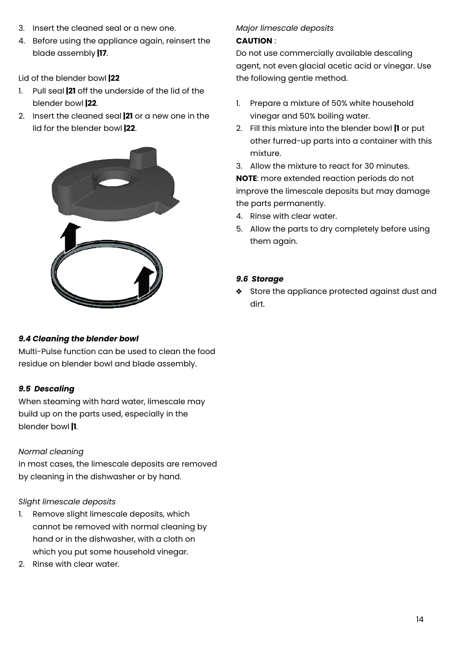- 3. Insert the cleaned seal or a new one.
- 4. Before using the appliance again, reinsert the blade assembly **|17**.

Lid of the blender bowl **|22**

- 1. Pull seal **|21** off the underside of the lid of the blender bowl **|22**.
- 2. Insert the cleaned seal **|21** or a new one in the lid for the blender bowl **|22**.



#### *9.4 Cleaning the blender bowl*

Multi-Pulse function can be used to clean the food residue on blender bowl and blade assembly.

#### *9.5 Descaling*

When steaming with hard water, limescale may build up on the parts used, especially in the blender bowl **|1**.

#### *Normal cleaning*

In most cases, the limescale deposits are removed by cleaning in the dishwasher or by hand.

#### *Slight limescale deposits*

- 1. Remove slight limescale deposits, which cannot be removed with normal cleaning by hand or in the dishwasher, with a cloth on which you put some household vinegar.
- 2. Rinse with clear water.

### *Major limescale deposits*

#### **CAUTION** :

Do not use commercially available descaling agent, not even glacial acetic acid or vinegar. Use the following gentle method.

- 1. Prepare a mixture of 50% white household vinegar and 50% boiling water.
- 2. Fill this mixture into the blender bowl **|1** or put other furred-up parts into a container with this mixture.
- 3. Allow the mixture to react for 30 minutes.

**NOTE**: more extended reaction periods do not improve the limescale deposits but may damage the parts permanently.

- 4. Rinse with clear water.
- 5. Allow the parts to dry completely before using them again.

#### *9.6 Storage*

Store the appliance protected against dust and dirt.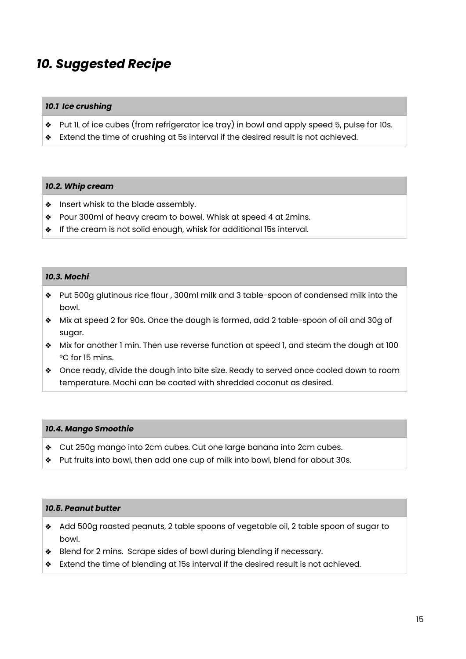### *10. Suggested Recipe*

#### *10.1 Ice crushing*

- Put 1L of ice cubes (from refrigerator ice tray) in bowl and apply speed 5, pulse for 10s.
- \* Extend the time of crushing at 5s interval if the desired result is not achieved.

#### *10.2. Whip cream*

- $\triangleq$  Insert whisk to the blade assembly.
- Pour 300ml of heavy cream to bowel. Whisk at speed 4 at 2mins.
- **If the cream is not solid enough, whisk for additional 15s interval.**

#### *10.3. Mochi*

- Put 500g glutinous rice flour , 300ml milk and 3 table-spoon of condensed milk into the bowl.
- Mix at speed 2 for 90s. Once the dough is formed, add 2 table-spoon of oil and 30g of sugar.
- **Mix for another 1 min. Then use reverse function at speed 1, and steam the dough at 100** °C for 15 mins.
- Once ready, divide the dough into bite size. Ready to served once cooled down to room temperature. Mochi can be coated with shredded coconut as desired.

#### *10.4. Mango Smoothie*

- Cut 250g mango into 2cm cubes. Cut one large banana into 2cm cubes.
- \* Put fruits into bowl, then add one cup of milk into bowl, blend for about 30s.

#### *10.5. Peanut butter*

- Add 500g roasted peanuts, 2 table spoons of vegetable oil, 2 table spoon of sugar to bowl.
- Blend for 2 mins. Scrape sides of bowl during blending if necessary.
- Extend the time of blending at 15s interval if the desired result is not achieved.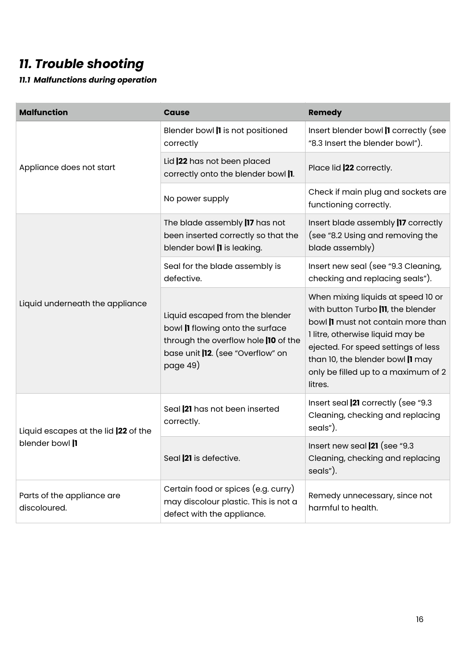### *11. Trouble shooting*

*11.1 Malfunctions during operation*

| <b>Malfunction</b>                         | <b>Cause</b>                                                                                                                                                        | <b>Remedy</b>                                                                                                                                                                                                                                                                   |
|--------------------------------------------|---------------------------------------------------------------------------------------------------------------------------------------------------------------------|---------------------------------------------------------------------------------------------------------------------------------------------------------------------------------------------------------------------------------------------------------------------------------|
|                                            | Blender bowl  1 is not positioned<br>correctly                                                                                                                      | Insert blender bowl   correctly (see<br>"8.3 Insert the blender bowl").                                                                                                                                                                                                         |
| Appliance does not start                   | Lid  22 has not been placed<br>correctly onto the blender bowl  1.                                                                                                  | Place lid   22 correctly.                                                                                                                                                                                                                                                       |
|                                            | No power supply                                                                                                                                                     | Check if main plug and sockets are<br>functioning correctly.                                                                                                                                                                                                                    |
|                                            | The blade assembly  17 has not<br>been inserted correctly so that the<br>blender bowl    is leaking.                                                                | Insert blade assembly  17 correctly<br>(see "8.2 Using and removing the<br>blade assembly)                                                                                                                                                                                      |
|                                            | Seal for the blade assembly is<br>defective.                                                                                                                        | Insert new seal (see "9.3 Cleaning,<br>checking and replacing seals").                                                                                                                                                                                                          |
| Liquid underneath the appliance            | Liquid escaped from the blender<br>bowl  I flowing onto the surface<br>through the overflow hole  10 of the<br>base unit <b>12</b> . (see "Overflow" on<br>page 49) | When mixing liquids at speed 10 or<br>with button Turbo  11, the blender<br>bowl    must not contain more than<br>1 litre, otherwise liquid may be<br>ejected. For speed settings of less<br>than 10, the blender bowl  1 may<br>only be filled up to a maximum of 2<br>litres. |
| Liquid escapes at the lid  22 of the       | Seal 21 has not been inserted<br>correctly.                                                                                                                         | Insert seal  21 correctly (see "9.3<br>Cleaning, checking and replacing<br>seals").                                                                                                                                                                                             |
| blender bowl  1                            | Seal  21 is defective.                                                                                                                                              | Insert new seal $\vert$ 21 (see "9.3<br>Cleaning, checking and replacing<br>seals").                                                                                                                                                                                            |
| Parts of the appliance are<br>discoloured. | Certain food or spices (e.g. curry)<br>may discolour plastic. This is not a<br>defect with the appliance.                                                           | Remedy unnecessary, since not<br>harmful to health.                                                                                                                                                                                                                             |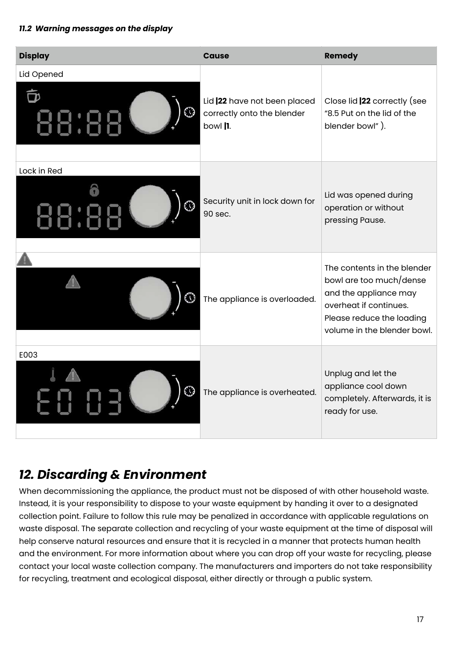#### *11.2 Warning messages on the display*

| <b>Display</b>     | <b>Cause</b>                                                           | <b>Remedy</b>                                                                                                                                                         |
|--------------------|------------------------------------------------------------------------|-----------------------------------------------------------------------------------------------------------------------------------------------------------------------|
| Lid Opened         | Lid  22 have not been placed<br>correctly onto the blender<br>bowl  1. | Close lid   22 correctly (see<br>"8.5 Put on the lid of the<br>blender bowl").                                                                                        |
| Lock in Red<br>E C | Security unit in lock down for<br>90 sec.                              | Lid was opened during<br>operation or without<br>pressing Pause.                                                                                                      |
|                    | The appliance is overloaded.                                           | The contents in the blender<br>bowl are too much/dense<br>and the appliance may<br>overheat if continues.<br>Please reduce the loading<br>volume in the blender bowl. |
| E003<br>⊕          | The appliance is overheated.                                           | Unplug and let the<br>appliance cool down<br>completely. Afterwards, it is<br>ready for use.                                                                          |

### *12. Discarding & Environment*

When decommissioning the appliance, the product must not be disposed of with other household waste. Instead, it is your responsibility to dispose to your waste equipment by handing it over to a designated collection point. Failure to follow this rule may be penalized in accordance with applicable regulations on waste disposal. The separate collection and recycling of your waste equipment at the time of disposal will help conserve natural resources and ensure that it is recycled in a manner that protects human health and the environment. For more information about where you can drop off your waste for recycling, please contact your local waste collection company. The manufacturers and importers do not take responsibility for recycling, treatment and ecological disposal, either directly or through a public system.